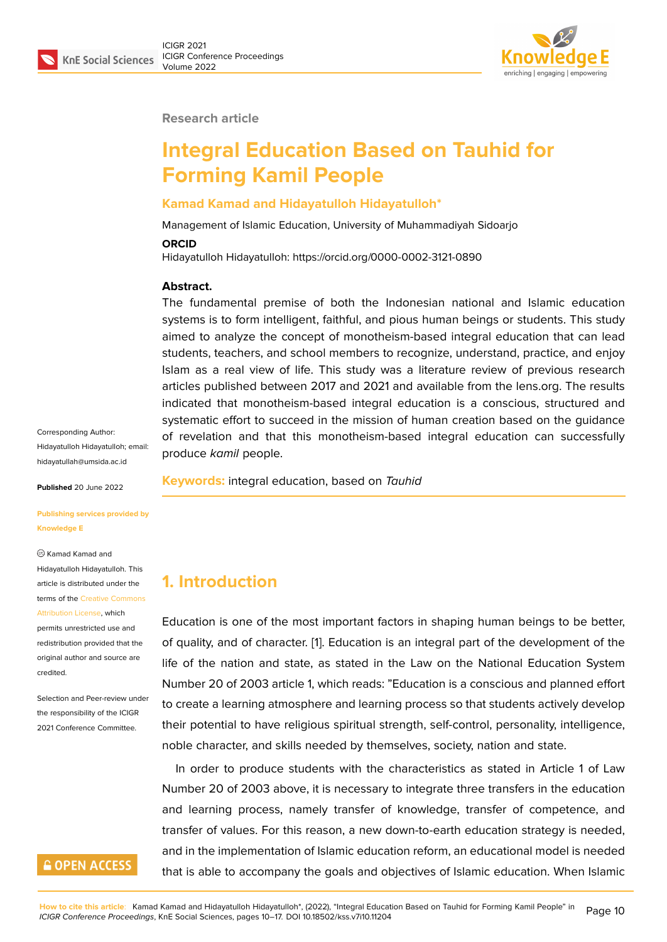

### **Research article**

# **Integral Education Based on Tauhid for Forming Kamil People**

### **Kamad Kamad and Hidayatulloh Hidayatulloh\***

Management of Islamic Education, University of Muhammadiyah Sidoarjo

#### **ORCID**

Hidayatulloh Hidayatulloh: https://orcid.org/0000-0002-3121-0890

#### **Abstract.**

The fundamental premise of both the Indonesian national and Islamic education systems is to form intelligent, faithful, and pious human beings or students. This study aimed to analyze the concept of monotheism-based integral education that can lead students, teachers, and school members to recognize, understand, practice, and enjoy Islam as a real view of life. This study was a literature review of previous research articles published between 2017 and 2021 and available from the lens.org. The results indicated that monotheism-based integral education is a conscious, structured and systematic effort to succeed in the mission of human creation based on the guidance of revelation and that this monotheism-based integral education can successfully produce *kamil* people.

Corresponding Author: Hidayatulloh Hidayatulloh; email: hidayatullah@umsida.ac.id

**Published** 20 June 2022

**[Publishing services provid](mailto:hidayatullah@umsida.ac.id)ed by Knowledge E**

Kamad Kamad and

Hidayatulloh Hidayatulloh. This article is distributed under the terms of the Creative Commons

Attribution License, which

permits unrestricted use and redistribution provided that the original auth[or and source are](https://creativecommons.org/licenses/by/4.0/) [credited.](https://creativecommons.org/licenses/by/4.0/)

Selection and Peer-review under the responsibility of the ICIGR 2021 Conference Committee.

### **GOPEN ACCESS**

**Keywords:** integral education, based on *Tauhid*

### **1. Introduction**

Education is one of the most important factors in shaping human beings to be better, of quality, and of character. [1]. Education is an integral part of the development of the life of the nation and state, as stated in the Law on the National Education System Number 20 of 2003 article 1, which reads: "Education is a conscious and planned effort to create a learning atmosp[he](#page-6-0)re and learning process so that students actively develop their potential to have religious spiritual strength, self-control, personality, intelligence, noble character, and skills needed by themselves, society, nation and state.

In order to produce students with the characteristics as stated in Article 1 of Law Number 20 of 2003 above, it is necessary to integrate three transfers in the education and learning process, namely transfer of knowledge, transfer of competence, and transfer of values. For this reason, a new down-to-earth education strategy is needed, and in the implementation of Islamic education reform, an educational model is needed that is able to accompany the goals and objectives of Islamic education. When Islamic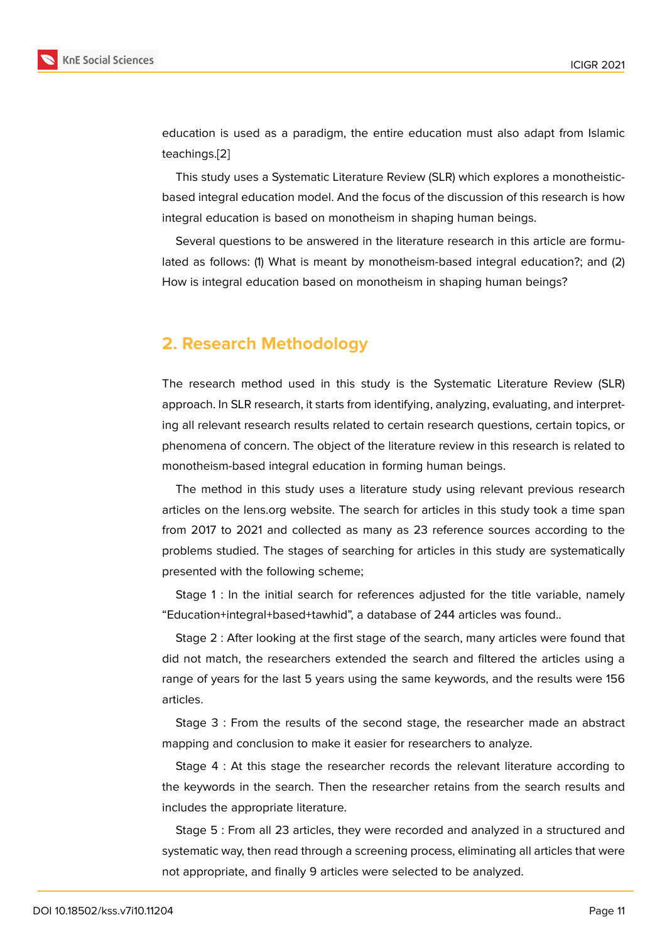education is used as a paradigm, the entire education must also adapt from Islamic teachings.[2]

This study uses a Systematic Literature Review (SLR) which explores a monotheisticbased integral education model. And the focus of the discussion of this research is how integral e[duc](#page-6-1)ation is based on monotheism in shaping human beings.

Several questions to be answered in the literature research in this article are formulated as follows: (1) What is meant by monotheism-based integral education?; and (2) How is integral education based on monotheism in shaping human beings?

### **2. Research Methodology**

The research method used in this study is the Systematic Literature Review (SLR) approach. In SLR research, it starts from identifying, analyzing, evaluating, and interpreting all relevant research results related to certain research questions, certain topics, or phenomena of concern. The object of the literature review in this research is related to monotheism-based integral education in forming human beings.

The method in this study uses a literature study using relevant previous research articles on the lens.org website. The search for articles in this study took a time span from 2017 to 2021 and collected as many as 23 reference sources according to the problems studied. The stages of searching for articles in this study are systematically presented with the following scheme;

Stage 1 : In the initial search for references adjusted for the title variable, namely "Education+integral+based+tawhid", a database of 244 articles was found..

Stage 2 : After looking at the first stage of the search, many articles were found that did not match, the researchers extended the search and filtered the articles using a range of years for the last 5 years using the same keywords, and the results were 156 articles.

Stage 3 : From the results of the second stage, the researcher made an abstract mapping and conclusion to make it easier for researchers to analyze.

Stage 4 : At this stage the researcher records the relevant literature according to the keywords in the search. Then the researcher retains from the search results and includes the appropriate literature.

Stage 5 : From all 23 articles, they were recorded and analyzed in a structured and systematic way, then read through a screening process, eliminating all articles that were not appropriate, and finally 9 articles were selected to be analyzed.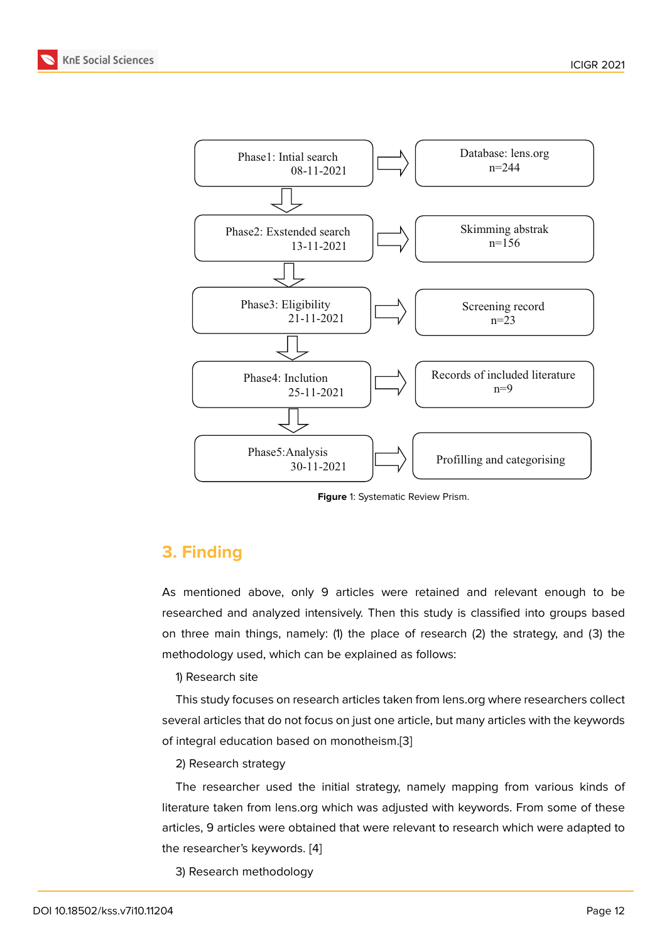

**Figure** 1: Systematic Review Prism.

# **3. Finding**

As mentioned above, only 9 articles were retained and relevant enough to be researched and analyzed intensively. Then this study is classified into groups based on three main things, namely: (1) the place of research (2) the strategy, and (3) the methodology used, which can be explained as follows:

1) Research site

This study focuses on research articles taken from lens.org where researchers collect several articles that do not focus on just one article, but many articles with the keywords of integral education based on monotheism.[3]

### 2) Research strategy

The researcher used the initial strategy, namely mapping from various kinds of literature taken from lens.org which was adj[us](#page-7-0)ted with keywords. From some of these articles, 9 articles were obtained that were relevant to research which were adapted to the researcher's keywords. [4]

3) Research methodology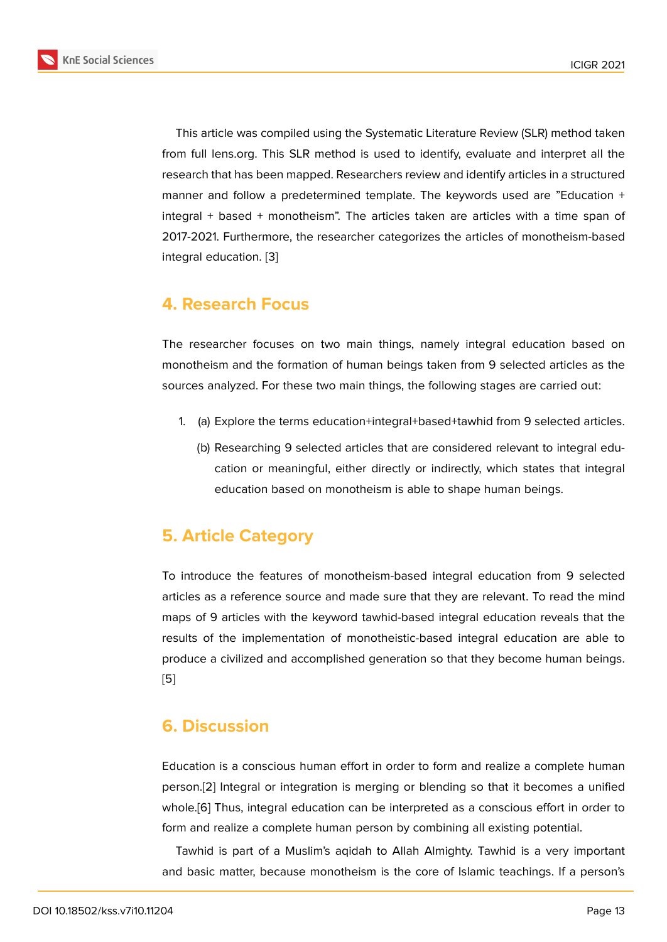This article was compiled using the Systematic Literature Review (SLR) method taken from full lens.org. This SLR method is used to identify, evaluate and interpret all the research that has been mapped. Researchers review and identify articles in a structured manner and follow a predetermined template. The keywords used are "Education + integral + based + monotheism". The articles taken are articles with a time span of 2017-2021. Furthermore, the researcher categorizes the articles of monotheism-based integral education. [3]

# **4. Research [Fo](#page-7-0)cus**

The researcher focuses on two main things, namely integral education based on monotheism and the formation of human beings taken from 9 selected articles as the sources analyzed. For these two main things, the following stages are carried out:

- 1. (a) Explore the terms education+integral+based+tawhid from 9 selected articles.
	- (b) Researching 9 selected articles that are considered relevant to integral education or meaningful, either directly or indirectly, which states that integral education based on monotheism is able to shape human beings.

### **5. Article Category**

To introduce the features of monotheism-based integral education from 9 selected articles as a reference source and made sure that they are relevant. To read the mind maps of 9 articles with the keyword tawhid-based integral education reveals that the results of the implementation of monotheistic-based integral education are able to produce a civilized and accomplished generation so that they become human beings. [5]

### **[6](#page-7-1). Discussion**

Education is a conscious human effort in order to form and realize a complete human person.[2] Integral or integration is merging or blending so that it becomes a unified whole.[6] Thus, integral education can be interpreted as a conscious effort in order to form and realize a complete human person by combining all existing potential.

Tawh[id](#page-6-1) is part of a Muslim's aqidah to Allah Almighty. Tawhid is a very important and b[asi](#page-7-2)c matter, because monotheism is the core of Islamic teachings. If a person's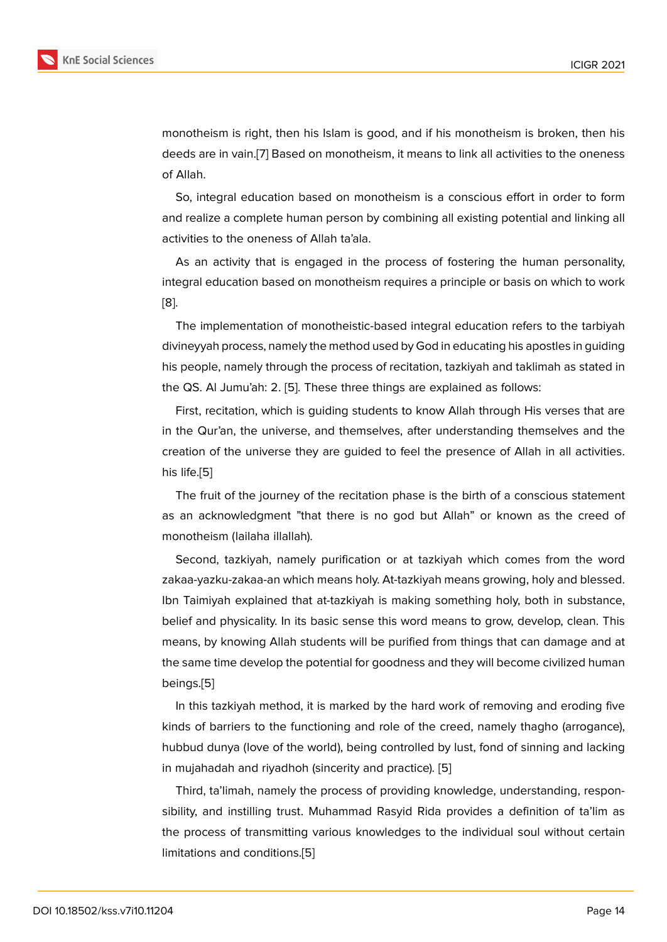monotheism is right, then his Islam is good, and if his monotheism is broken, then his deeds are in vain.[7] Based on monotheism, it means to link all activities to the oneness of Allah.

So, integral education based on monotheism is a conscious effort in order to form and realize a com[pl](#page-7-3)ete human person by combining all existing potential and linking all activities to the oneness of Allah ta'ala.

As an activity that is engaged in the process of fostering the human personality, integral education based on monotheism requires a principle or basis on which to work [8].

The implementation of monotheistic-based integral education refers to the tarbiyah divineyyah process, namely the method used by God in educating his apostles in guiding [his](#page-7-4) people, namely through the process of recitation, tazkiyah and taklimah as stated in the QS. Al Jumu'ah: 2. [5]. These three things are explained as follows:

First, recitation, which is guiding students to know Allah through His verses that are in the Qur'an, the universe, and themselves, after understanding themselves and the creation of the univers[e](#page-7-1) they are guided to feel the presence of Allah in all activities. his life.[5]

The fruit of the journey of the recitation phase is the birth of a conscious statement as an acknowledgment "that there is no god but Allah" or known as the creed of monot[he](#page-7-1)ism (lailaha illallah).

Second, tazkiyah, namely purification or at tazkiyah which comes from the word zakaa-yazku-zakaa-an which means holy. At-tazkiyah means growing, holy and blessed. Ibn Taimiyah explained that at-tazkiyah is making something holy, both in substance, belief and physicality. In its basic sense this word means to grow, develop, clean. This means, by knowing Allah students will be purified from things that can damage and at the same time develop the potential for goodness and they will become civilized human beings.[5]

In this tazkiyah method, it is marked by the hard work of removing and eroding five kinds of barriers to the functioning and role of the creed, namely thagho (arrogance), hubbud [d](#page-7-1)unya (love of the world), being controlled by lust, fond of sinning and lacking in mujahadah and riyadhoh (sincerity and practice). [5]

Third, ta'limah, namely the process of providing knowledge, understanding, responsibility, and instilling trust. Muhammad Rasyid Rida provides a definition of ta'lim as the process of transmitting various knowledges to [th](#page-7-1)e individual soul without certain limitations and conditions.[5]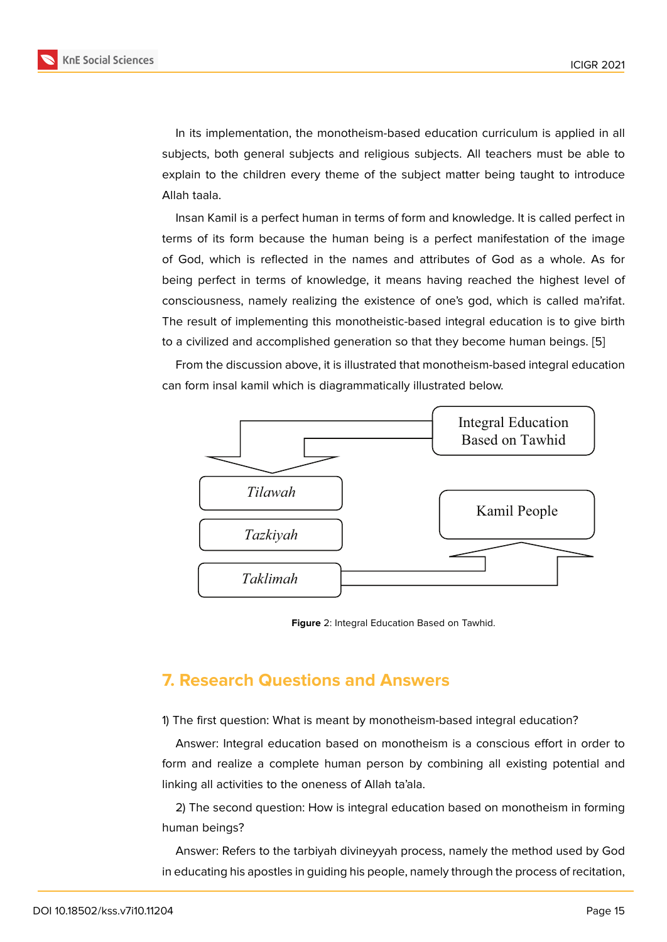In its implementation, the monotheism-based education curriculum is applied in all subjects, both general subjects and religious subjects. All teachers must be able to explain to the children every theme of the subject matter being taught to introduce Allah taala.

Insan Kamil is a perfect human in terms of form and knowledge. It is called perfect in terms of its form because the human being is a perfect manifestation of the image of God, which is reflected in the names and attributes of God as a whole. As for being perfect in terms of knowledge, it means having reached the highest level of consciousness, namely realizing the existence of one's god, which is called ma'rifat. The result of implementing this monotheistic-based integral education is to give birth to a civilized and accomplished generation so that they become human beings. [5]

From the discussion above, it is illustrated that monotheism-based integral education can form insal kamil which is diagrammatically illustrated below.



**Figure** 2: Integral Education Based on Tawhid.

### **7. Research Questions and Answers**

1) The first question: What is meant by monotheism-based integral education?

Answer: Integral education based on monotheism is a conscious effort in order to form and realize a complete human person by combining all existing potential and linking all activities to the oneness of Allah ta'ala.

2) The second question: How is integral education based on monotheism in forming human beings?

Answer: Refers to the tarbiyah divineyyah process, namely the method used by God in educating his apostles in guiding his people, namely through the process of recitation,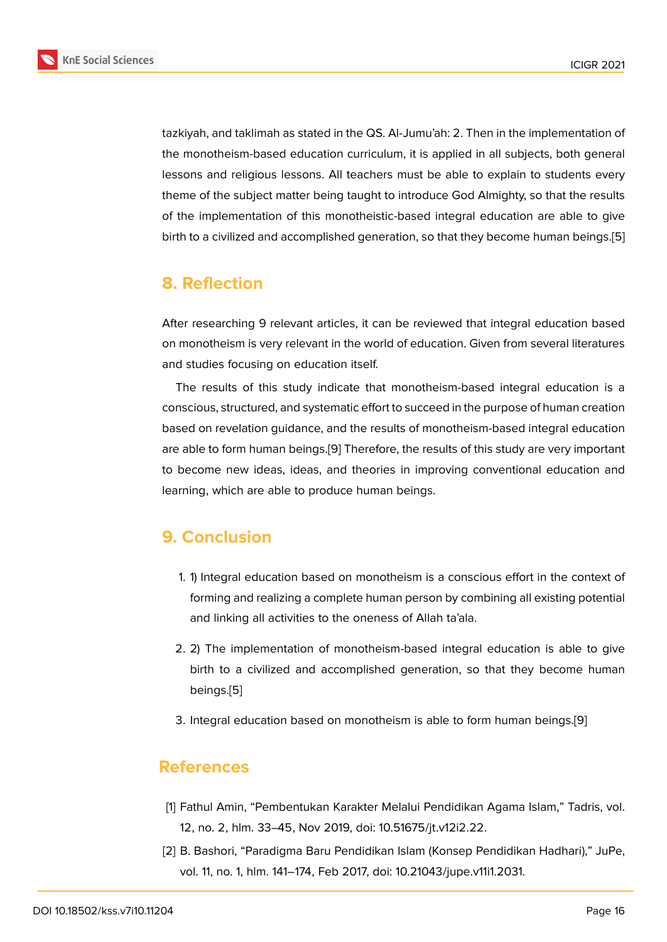tazkiyah, and taklimah as stated in the QS. Al-Jumu'ah: 2. Then in the implementation of the monotheism-based education curriculum, it is applied in all subjects, both general lessons and religious lessons. All teachers must be able to explain to students every theme of the subject matter being taught to introduce God Almighty, so that the results of the implementation of this monotheistic-based integral education are able to give birth to a civilized and accomplished generation, so that they become human beings.[5]

### **8. Reflection**

After researching 9 relevant articles, it can be reviewed that integral education based on monotheism is very relevant in the world of education. Given from several literatures and studies focusing on education itself.

The results of this study indicate that monotheism-based integral education is a conscious, structured, and systematic effort to succeed in the purpose of human creation based on revelation guidance, and the results of monotheism-based integral education are able to form human beings.[9] Therefore, the results of this study are very important to become new ideas, ideas, and theories in improving conventional education and learning, which are able to produce human beings.

# **9. Conclusion**

- 1. 1) Integral education based on monotheism is a conscious effort in the context of forming and realizing a complete human person by combining all existing potential and linking all activities to the oneness of Allah ta'ala.
- 2. 2) The implementation of monotheism-based integral education is able to give birth to a civilized and accomplished generation, so that they become human beings.[5]
- 3. Integral education based on monotheism is able to form human beings.[9]

### **References**

- [1] Fathul Amin, "Pembentukan Karakter Melalui Pendidikan Agama Islam," Tadris, vol. 12, no. 2, hlm. 33–45, Nov 2019, doi: 10.51675/jt.v12i2.22.
- <span id="page-6-1"></span><span id="page-6-0"></span>[2] B. Bashori, "Paradigma Baru Pendidikan Islam (Konsep Pendidikan Hadhari)," JuPe, vol. 11, no. 1, hlm. 141–174, Feb 2017, doi: 10.21043/jupe.v11i1.2031.